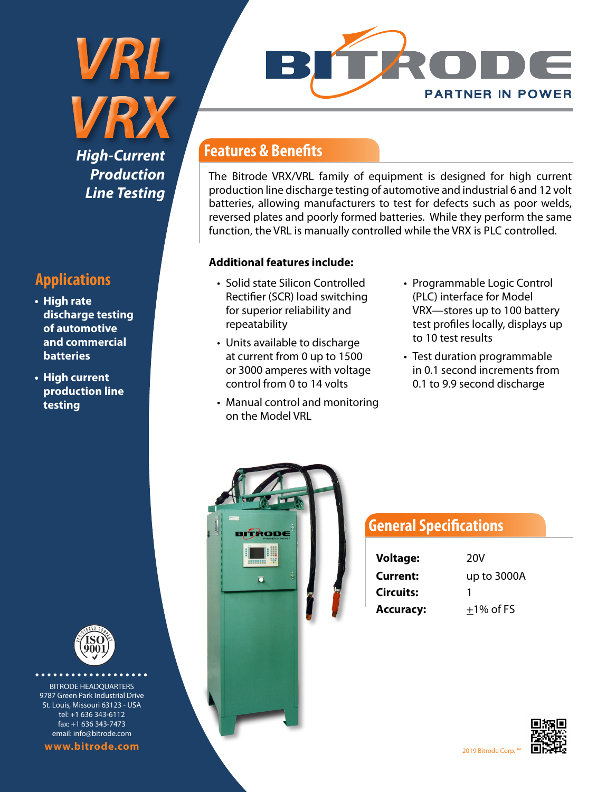*VRX High-Current Production Line Testing*

*VRL* 

## **Applications**

- **• High rate discharge testing of automotive and commercial batteries**
- **• High current production line testing**



............. BITRODE HEADQUARTERS 9787 Green Park Industrial Drive St. Louis, Missouri 63123 - USA tel: +1 636 343-6112 fax: +1 636 343-7473 email: info@bitrode.com

**www.bitrode.com**



#### **Features & Benefits**

The Bitrode VRX/VRL family of equipment is designed for high current production line discharge testing of automotive and industrial 6 and 12 volt batteries, allowing manufacturers to test for defects such as poor welds, reversed plates and poorly formed batteries. While they perform the same function, the VRL is manually controlled while the VRX is PLC controlled.

#### **Additional features include:**

- Solid state Silicon Controlled Rectifier (SCR) load switching for superior reliability and repeatability
- Units available to discharge at current from 0 up to 1500 or 3000 amperes with voltage control from 0 to 14 volts
- Manual control and monitoring on the Model VRL
- Programmable Logic Control (PLC) interface for Model VRX—stores up to 100 battery test profiles locally, displays up to 10 test results
- Test duration programmable in 0.1 second increments from 0.1 to 9.9 second discharge



### **General Specifications**

| <b>Voltage:</b>  | 20V<br>up to 3000A |  |  |
|------------------|--------------------|--|--|
| Current:         |                    |  |  |
| <b>Circuits:</b> | 1                  |  |  |
| <b>Accuracy:</b> | $+1\%$ of FS       |  |  |